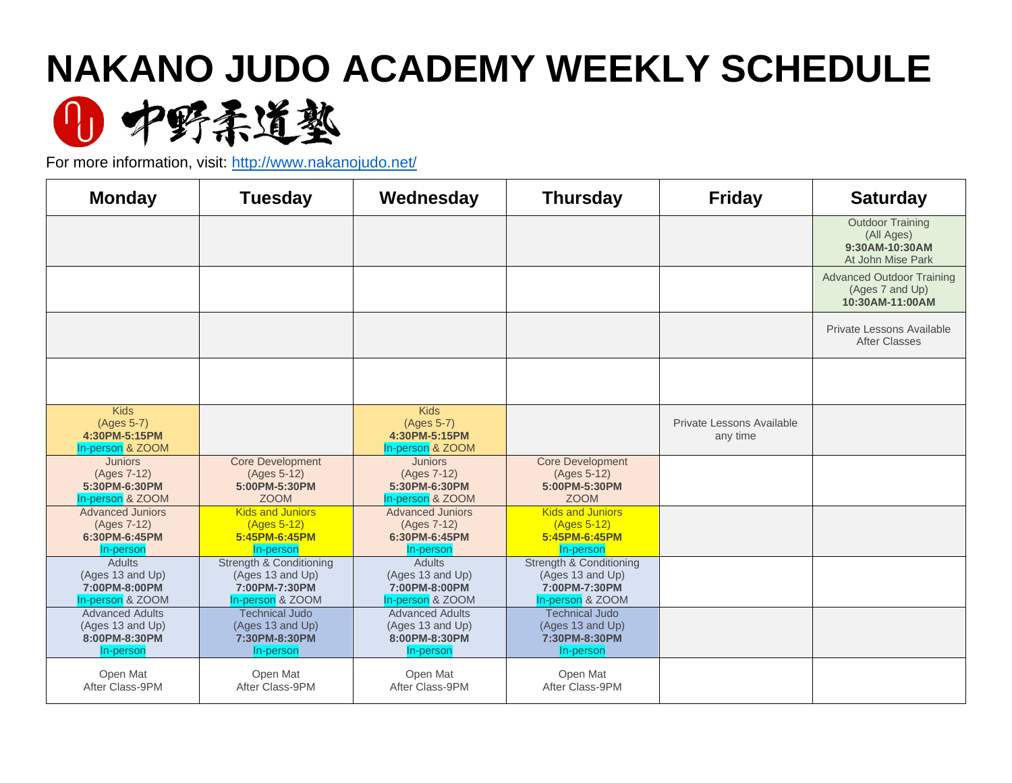## **NAKANO JUDO ACADEMY WEEKLY SCHEDULE**



For more information, visit:<http://www.nakanojudo.net/>

| <b>Monday</b>                                                            | <b>Tuesday</b>                                                                   | Wednesday                                                                | <b>Thursday</b>                                                                  | <b>Friday</b>                         | <b>Saturday</b>                                                              |
|--------------------------------------------------------------------------|----------------------------------------------------------------------------------|--------------------------------------------------------------------------|----------------------------------------------------------------------------------|---------------------------------------|------------------------------------------------------------------------------|
|                                                                          |                                                                                  |                                                                          |                                                                                  |                                       | <b>Outdoor Training</b><br>(All Ages)<br>9:30AM-10:30AM<br>At John Mise Park |
|                                                                          |                                                                                  |                                                                          |                                                                                  |                                       | <b>Advanced Outdoor Training</b><br>(Ages 7 and Up)<br>10:30AM-11:00AM       |
|                                                                          |                                                                                  |                                                                          |                                                                                  |                                       | Private Lessons Available<br>After Classes                                   |
|                                                                          |                                                                                  |                                                                          |                                                                                  |                                       |                                                                              |
| <b>Kids</b><br>(Ages 5-7)<br>4:30PM-5:15PM<br>In-person & ZOOM           |                                                                                  | <b>Kids</b><br>(Ages 5-7)<br>4:30PM-5:15PM<br>In-person & ZOOM           |                                                                                  | Private Lessons Available<br>any time |                                                                              |
| <b>Juniors</b><br>(Ages 7-12)<br>5:30PM-6:30PM<br>In-person & ZOOM       | <b>Core Development</b><br>(Ages 5-12)<br>5:00PM-5:30PM<br><b>ZOOM</b>           | <b>Juniors</b><br>(Ages 7-12)<br>5:30PM-6:30PM<br>In-person & ZOOM       | <b>Core Development</b><br>(Ages 5-12)<br>5:00PM-5:30PM<br><b>ZOOM</b>           |                                       |                                                                              |
| <b>Advanced Juniors</b><br>(Ages 7-12)<br>6:30PM-6:45PM<br>In-person     | <b>Kids and Juniors</b><br>(Ages 5-12)<br>5:45PM-6:45PM<br>In-person             | <b>Advanced Juniors</b><br>(Ages 7-12)<br>6:30PM-6:45PM<br>In-person     | <b>Kids and Juniors</b><br>(Ages 5-12)<br>5:45PM-6:45PM<br>In-person             |                                       |                                                                              |
| <b>Adults</b><br>(Ages 13 and Up)<br>7:00PM-8:00PM<br>In-person & ZOOM   | Strength & Conditioning<br>(Ages 13 and Up)<br>7:00PM-7:30PM<br>In-person & ZOOM | <b>Adults</b><br>(Ages 13 and Up)<br>7:00PM-8:00PM<br>In-person & ZOOM   | Strength & Conditioning<br>(Ages 13 and Up)<br>7:00PM-7:30PM<br>In-person & ZOOM |                                       |                                                                              |
| <b>Advanced Adults</b><br>(Ages 13 and Up)<br>8:00PM-8:30PM<br>In-person | <b>Technical Judo</b><br>(Ages 13 and Up)<br>7:30PM-8:30PM<br>In-person          | <b>Advanced Adults</b><br>(Ages 13 and Up)<br>8:00PM-8:30PM<br>In-person | <b>Technical Judo</b><br>(Ages 13 and Up)<br>7:30PM-8:30PM<br>In-person          |                                       |                                                                              |
| Open Mat<br>After Class-9PM                                              | Open Mat<br>After Class-9PM                                                      | Open Mat<br>After Class-9PM                                              | Open Mat<br>After Class-9PM                                                      |                                       |                                                                              |